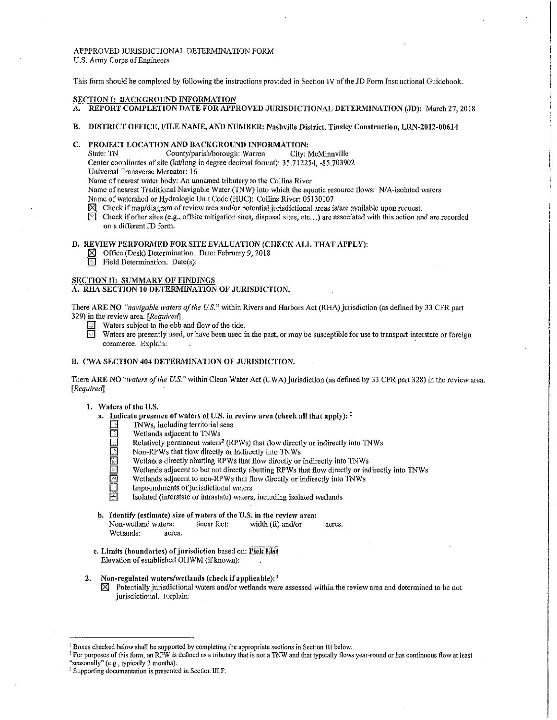# APPPROVED JURISDICTIONAL DETERMINATION FORM U.S. Army Corps of Engineers

This form should be completed by following the instructions provided in Section IV of the JD Form Instructional Guidebook.

#### SECTION I: BACKGROUND INFORMATION

- A. REPORT COMPLETION DATE FOR APPROVED JURISDICTIONAL DETERMINATION (JD): March 27, 2018
- B. DISTRICT OFFICE, FILE NAME, AND NUMBER: Nashville District, Tinsley Construction, LRN-2012-00614

# C. PROJECT LOCATION AND BACKGROUND INFORMATION:<br>State: TN County/parish/borough: Warren City: McMinnville

County/parish/borough: Warren

Center coordinates of site (lat/long in degree decimal format): 35.712254, -85.703902

Universal Transverse Mercator: 16

Name of nearest water body: An unnamed tributary to the Collins River

Name of nearest Traditional Navigable Water (TNW) into which the aquatic resource flows: N/A-isolated waters

Name of watershed or Hydrologic Unit Code (HUC): Collins River: 05130107

EX Check if map/diagram of review area and/or potential jurisdictional areas is/are available upon request.<br>
Check if other sites (e.g., offsite mitigation sites, disposal sites, etc...) are associated with this action an

Check if other sites (e.g., offsite mitigation sites, disposal sites, etc...) are associated with this action and are recorded on a different JD form.

# D. REVIEW PERFORMED FOR SITE EVALUATION (CHECK ALL THAT APPLY):

- $\boxtimes$  Office (Desk) Determination. Date; February 9, 2018
- $\overline{\mathbb{R}}$  Field Determination. Date(s):

### SECTION II: SUMMARY OF FINDINGS

A. RHA SECTION 10 DETERMINATION OF JURISDICTION.

There ARE NO *"navigable waters of the U.S."* within Rivers and Harbors Act (RHA) jurisdiction (as defined by 33 CFR part 329) in the review area. *[Requ;red]* 

- Waters subject to the ebb and flow of the tide.
- Waters are presently used, or have been used in the past, or may be susceptible for use to transport interstate or foreign commerce. Explain:

# B. CWA SECTION 404 DETERMINATION OF JURISDICTION.

There ARE NO "waters of the U.S." within Clean Water Act (CWA) jurisdiction (as defined by 33 CFR part 328) in the review area. *[Required]* 

# 1. Waters of the U.S.

- a. Indicate presence of waters of U.S. in review area (check all that apply):  $<sup>1</sup>$ </sup>
	- \_Q 1NWs, including territorial seas
	- Wetlands adjacent to TNWs
	- Relatively permanent waters<sup>2</sup> (RPWs) that flow directly or indirectly into TNWs<br>Non-RPWs that flow directly or indirectly into TNWs
	- $\overline{\mathbb{B}}$  Non-RPWs that flow directly or indirectly into TNWs<br> $\overline{\mathbb{B}}$  Wetlands directly abutting RPWs that flow directly or
		- Wetlands directly abutting RPWs that flow directly or indirectly into TNWs
		- Wetlands adjacent to but not directly abutting RPWs that flow directly or indirectly into TNWs
	- $\overline{\text{O}}$  Wetlands adjacent to non-RPWs that flow directly or indirectly into TNWs<br> $\overline{\text{O}}$  Impoundments of iurisdictional waters
	- $\Box$  Impoundments of jurisdictional waters<br> $\Box$  Isolated (interstate or intrastate) waters

Isolated (interstate or intrastate) waters, including isolated wetlands

- b. Identify (estimate) size of waters of the U.S. in the review area:<br>Non-wetland waters: linear feet: width (ft) and/or Non-wetland waters: linear feet: width (ft) and/or acres.<br>Wetlands: acres. Wetlands:
- c. Limits (boundaries) of jurisdiction based on: Pick List Elevation of established OHWM (if known):
- 2. Non-regulated waters/wctlands (check if applicable):<sup>3</sup>  $\boxtimes$  Potentially jurisdictional waters and/or wetlands were
	- Potentially jurisdictional waters and/or wetlands were assessed within the review area and determined to be not jurisdictional. Explain:

<sup>&</sup>lt;sup>1</sup> Boxes checked below shall be supported by completing the appropriate sections in Section III below.<br><sup>2</sup> For purposes of this form, an RPW is defined as a tributary that is not a TNW and that typically flows year-round

<sup>&</sup>lt;sup>3</sup> Supporting documentation is presented in Section III.F.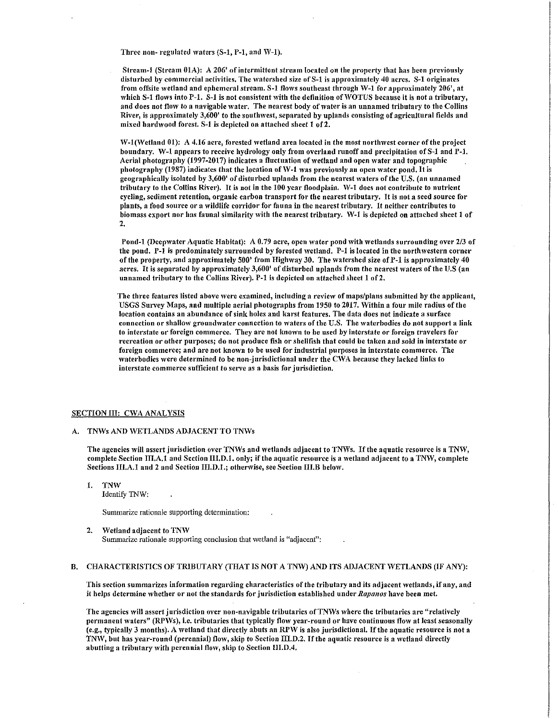Three non-regulated waters  $(S-1, P-1, and W-1)$ .

Stream-1 (Stream 01A): A 206' of intermittent stream located on the property that has been previously disturbed by commercial activities. The watershed size of  $S-1$  is approximately 40 acres.  $S-1$  originates from offsite wetland and ephemeral stream. S-1 flows southeast through W-1 for approximately 206', at which S-1 flows into P-1. S-1 is not consistent with the definition of WOTUS because it is not a tributary, and does not flow to a navigable water. The nearest body of water is an unnamed tributary to the Collins River, is approximately 3,600' to the southwest, separated by uplands consisting of agricultural fields and mixed hardwood forest. S-1 is depicted on attached sheet 1 of 2.

 $W-1$ (Wetland 01): A 4.16 acre, forested wetland area located in the most northwest corner of the project boundary. W-1 appears to receive hydrology only from overland runoff and precipitation of S-1 and P-1. Aerial photography (1997-2017) indicates a fluctuation of wetland and open water and topographic photography (1987) indicates that the location of  $W-1$  was previously an open water pond. It is geographically isolated by 3,600' of disturbed uplands from the nearest \Vaters of the U.S. (an unnamed tributary to the Collins River). It is not in the 100 year floodplain. W-1 does not contribute to nutrient cycling, sediment retention, organic carbon transport for the nearest tributary. It is not a seed source for plants, a food source or a wildlife corridor for fauna in the nearest tributary. It neither contributes to biomass export nor has faunal similarity with the nearest tributary. W-1 is depicted on attached sheet 1 of 2.

Pond-1 (Deepwater Aquatic Habitat): A 0.79 acre, open water pond with wetlands surrounding over 2/3 of the pond. P-1 is predominately surrounded by forested 'vetland. P-1 is located in the northwestern corner of the property, and approximately 500' from Highway 30. The watershed size of P-1 is approximately 40 acres. It is separated by approximately 3,600' of disturbed uplands from the nearest waters of the U.S (an unnamed tributary to the Collins River). P-1 is depicted on attached sheet 1 of 2.

The three features listed above were examined, including a review of maps/plans submitted by the applicant, USGS Survey Maps, and multiple aerial photographs from 1950 to 2017. Within a four mile radius of the location contains an abundance of sink holes and karst features. The data does not indicate a surface connection or shallow groundwater connection to waters of the U.S. The waterbodies do not support a link to interstate or foreign commerce. They are not known to be used by interstate or foreign travelers for recreation or other purposes; do not produce fish or shellfish that could be taken and sold in interstate or foreign commerce; and are not known to be used for industrial purposes in interstate commerce. The waterbodies were determined to be non-jurisdictional under the CWA because they lacked links to interstate commerce sufficient to serve as a basis for jurisdiction.

#### SECTION III: CWA ANALYSIS

#### A. TNWs AND WETLANDS ADJACENT TO TNWs

The agencies will assert jurisdiction over TNWs and wetlands adjacent to TNWs. If the aquatic resource is a TNW, complete Section III.A.1 and Section III.D.1. only; if the aquatic resource is a wetland adjacent to a TNW, complete Sections III.A.1 and 2 and Section III.D.1.; otherwise, see Section III.B below.

1. TNW Identify 1NW:

Summarize rationale supporting determination:

2. Wetland adjacent to TNW Summarize rationale supporting conclusion that wetland is "adjacent":

#### B. CHARACTERISTICS OF TRIBUTARY (THAT IS NOT A TNW) AND ITS ADJACENT WETLANDS (IF ANY):

This section summarizes information regarding characteristics of the tributary and its adjacent 'vetlands, if any, and it helps determine whether or not the standards for jurisdiction established under Rapanos have been met.

The agencies will assert jurisdiction over non-navigable tributaries of TNWs where the tributaries are "relatively permanent waters" (RPWs), i.e. tributaries that typically flow year-round or have continuous flow at least seasonally (e.g., typically 3 months). A 'vetland that directly abuts an RPW is also jurisdictional. If the aquatic resource is not a TNW, but has year-round (perennial) flow, skip to Section III.D.2. If the aquatic resource is a wetland directly abutting a tributary with perennial flow, skip to Section III.D.4.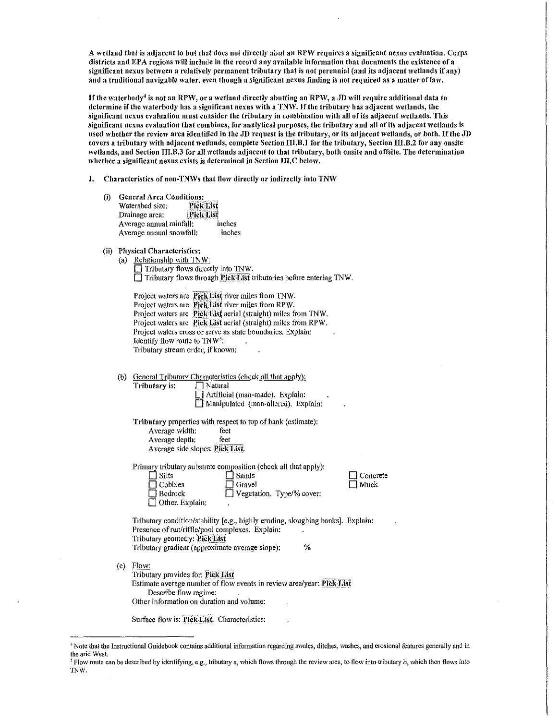A wetland that is adjacent to but that does not directly abut an RPW requires a significant nexus evaluation. Corps districts and EPA regions will include in the record any available information that documents the existence of a significant nexus between a relatively permanent tributary that is not perennial (and its adjacent wetlands if any) and a traditional navigable water, even though a significant nexus finding is not required as a matter of law.

If the waterbody<sup>4</sup> is not an RPW, or a wetland directly abutting an RPW, a JD will require additional data to determine if the waterbody has a significant nexus with a TNW. If the tributary has adjacent wetlands, the significant nexus evaluation must consider the tributary in combination with all of its adjacent wetlands. This significant nexus evaluation that combines, for analytical purposes, the tributary and all of its adjacent 'vctlands is used whether the review area identified in the JD request is the tributary, or its adjacent wetlands, or both. If the JD covers a tributary with adjacent wetlands, complete Section III.B.1 for the tributary, Section III.B.2 for any onsite wetlands, and Section III.B.3 for all wetlands adjacent to that tributary, both onsite and offsite. The determination whether a significant nexus exists is determined in Section III.C below.

- 1. Characteristics of non-TNWs that flow directly or indirectly into TNW
	- (i) General Area Conditions:<br>Watershed size: Pick List Watershed size: **Pick List**<br>Drainage area: Pick List Drainage area: Fick List<br>Average annual rainfall: inches Average annual rainfall: Average annual snowfall: inches
	- (ii) Physical Characteristics:

| (a) Relationship with TNW:                                         |
|--------------------------------------------------------------------|
| $\Box$ Tributary flows directly into TNW.                          |
| Tributary flows through Pick List tributaries before entering TNW. |

|                                                             | Project waters are Pick List river miles from TNW.             |  |  |  |  |
|-------------------------------------------------------------|----------------------------------------------------------------|--|--|--|--|
|                                                             | Project waters are Pick List river miles from RPW.             |  |  |  |  |
|                                                             | Project waters are Pick List aerial (straight) miles from TNW. |  |  |  |  |
|                                                             | Project waters are Pick List aerial (straight) miles from RPW. |  |  |  |  |
| Project waters cross or serve as state boundaries. Explain: |                                                                |  |  |  |  |
| Identify flow route to $TNW5$ .<br>۰                        |                                                                |  |  |  |  |
| Tributary stream order, if known:                           |                                                                |  |  |  |  |

| (b) |               | General Tributary Characteristics (check all that apply). |
|-----|---------------|-----------------------------------------------------------|
|     | Tributary is: | $\Box$ Natural                                            |
|     |               | $\Box$ Artificial (man-made). Explain:                    |
|     |               | Manipulated (man-altered). Explain:                       |

Tributary properties \vith respect to top of bank (estimate): Average width: feet Average depth: feet Average side slopes: Pick List.

Primary tributary substrate composition (check all that apply): □ Silts<br>□ Cobbles □ Gravel  $\Box$  Cobbles<br> $\Box$  Bedrock  $\Box$  Vegetation. Type/% cover:

D Concrete  $\Box$  Muck

Tributary condition/stability [e.g., highly eroding, sloughing banks]. Explain: Presence of run/riffle/pool complexes. Explain: Tributary geometry: Pick List Tributary gradient (approximate average slope): %

(c) Flow: Tributary provides for: Pick List<br>Estimate average number of flow events in review area/year: Pick List. Describe flow regime: Other information on duration and volume:

Surface flow is: Pick List. Characteristics:

Other. Explain:

<sup>4</sup> Note that the Instructional Guidebook contains additional information regarding swales, ditches, washes, and erosional features generally and in the arid West.

<sup>&</sup>lt;sup>5</sup> Flow route can be described by identifying, e.g., tributary a, which flows through the review area, to flow into tributary b, which then flows into TNW.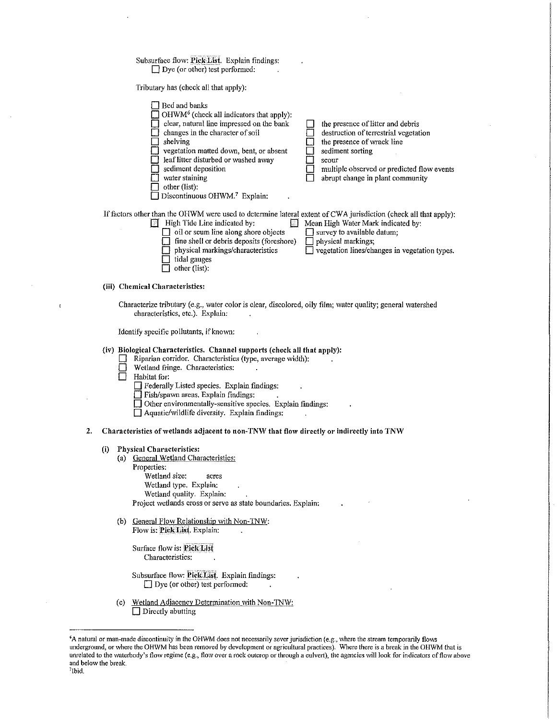## Subsurface flow: Pick List. Explain findings:  $\Box$  Dye (or other) test performed:

Tributary has (check all that apply):

| Bed and banks<br>OHWM <sup>6</sup> (check all indicators that apply):<br>clear, natural line impressed on the bank<br>changes in the character of soil<br>shelving<br>vegetation matted down, bent, or absent<br>leaf litter disturbed or washed away<br>sediment deposition<br>water staining<br>other (list):<br>Discontinuous OHWM. <sup>7</sup> Explain: | the presence of litter and debris<br>destruction of terrestrial vegetation<br>the presence of wrack line<br>sediment sorting<br>scour<br>multiple observed or predicted flow events<br>abrupt change in plant community |
|--------------------------------------------------------------------------------------------------------------------------------------------------------------------------------------------------------------------------------------------------------------------------------------------------------------------------------------------------------------|-------------------------------------------------------------------------------------------------------------------------------------------------------------------------------------------------------------------------|
| If factors other than the OHWM were used to determine lateral extent of CWA jurisdiction (check all that apply):<br>High Tide Line indicated by:<br>IМ<br>Ħ<br>oil or scum line along shore objects<br>fine shell or debris deposits (foreshore)<br>physical markings/characteristics<br>tidal gauges<br>other (list):                                       | Mean High Water Mark indicated by:<br>survey to available datum;<br>physical markings;<br>vegetation lines/changes in vegetation types.                                                                                 |
| (iii) Chemical Characteristics:<br>Characterize tributary (e.g., water color is clear, discolored, oily film; water quality; general watershed<br>characteristics, etc.). Explain:                                                                                                                                                                           |                                                                                                                                                                                                                         |

Identify specific pollutants, if known:

# (iv) Biological Characteristics. Channel supports (check all that apply):

- Riparian corridor. Characteristics (type, average width):
- $\begin{array}{ll}\n\boxed{\phantom{1}} & \text{Wetland fringe. Characteristics:} \\
\boxed{\phantom{1}} & \text{Habitat for:}\n\end{array}$
- Habitat for:
	- D Federally Listed species. Explain fmdings:
	- $\Box$  Fish/spawn areas. Explain findings:
	- $\Box$  Other environmentally-sensitive species. Explain findings:
	- $\Box$  Aquatic/wildlife diversity. Explain findings:

#### 2. Characteristics of wetlands adjacent to non-TNW that flow directly or indirectly into TNW

#### (i) Physical Characteristics:

- (a) General Wetland Characteristics:
	- Properties:

Wetland size: acres Wetland type. Explain: Wetland quality. Explain: Project wetlands cross or serve as state boundaries. Explain:

(b) General Flow Relationship with Non-TNW: Flow is: Pick List. Explain:

Surface flow is: Plck Llst Characteristics:

- Subsurface flow: Pielc Eist. Explain findings:  $\Box$  Dye (or other) test performed:
- (c) Wetland Adjacency Determination with Non-TNW:  $\Box$  Directly abutting

<sup>6</sup> A natural or man-made discontinuity in the OHWM does not necessarily sever jurisdiction (e.g., where the stream temporarily flows underground, or where the OHWM has been removed by development or agricultural practices). Where there is a break in the OHWM that is unrelated to the waterbody's flow regime (e.g., flow over a rock outcrop or through a culvert), the agencies will look for indicators of flow above and below the break. Ibid.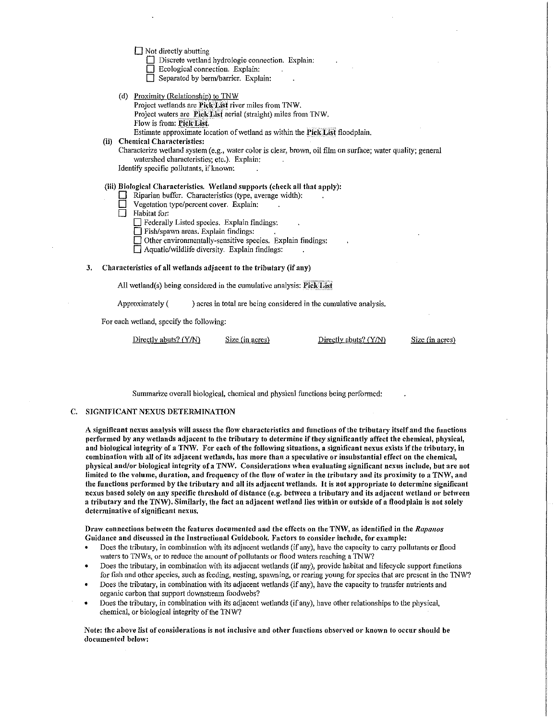$\Box$  Not directly abutting

 $\Box$  Discrete wetland hydrologic connection. Explain:

- Ecological connection. Explain:
- Separated by berm/barrier. Explain:
- (d) Proximity (Relationship) to  $TNW$ 
	- Project wetlands are Pick List river miles from TNW.

Project waters are Pick List aerial (straight) miles from TNW.

Flow is from: Pick List.

Estimate approximate location of wetland as within the Pick List floodplain.

# (ii) Chemical Characteristics:

Characterize wetland system (e.g., water color is clear, brown, oil film on surface; water quality; general watershed characteristics; etc.). Explain:

Identify specific pollutants, if known:

# (iii) Biological Characteristics. \Vetland supports (check all that apply):

- $\Box$  Riparian buffer. Characteristics (type, average width):<br>
Vegetation type/percent cover. Explain:
- Vegetation type/percent cover. Explain:
- $\Box$  Habitat for:
	- D Federally Listed species. Explain findings:
	- $\Box$  Fish/spawn areas. Explain findings:
	- Other environmentally-sensitive species. Explain findings:

 $\Box$  Aquatic/wildlife diversity. Explain findings:

# 3. Characteristics of all wetlands adjacent to the tributary (if any)

All wetland(s) being considered in the cumulative analysis:  $PickList$ 

Approximately () acres in total are being considered in the cumulative analysis.

For each wetland, specify the following:

Directly abuts? (Y/N) Size (in acres) Directly abuts? (Y/N)

 $Size (in acres)$ 

Summarize overall biological, chemical and physical functions being performed:

## C. SIGNIFICANT NEXUS DETERMINATION

A significant nexus analysis 'vill assess the flow characteristics and functions of the tributary itself and the functions performed by any 'vetlands adjacent to the tributary to determine if they significantly affect the chemical, physical, and biological integrity of a TNW. For each of the following situations, a significant nexus exists if the tributary, in combination with all of its adjacent 'vetlands, has more than a speculative or insubstantial effect on the chemical, physical and/or biological integrity of a TNW. Considerations when evaluating significant nexus include, but are not limited to the volume, duration, and frequency of the flow of water in the tributary and its proximity to a TNW, and the functions performed by the tributary and all its adjacent wetlands. It is not appropriate to determine significant nexus based solely on any specific threshold of distance (e.g. between a tributary and its adjacent wetland or between a tributary and the TNW). Similarly, the fact an adjacent wetland lies within or outside of a floodplain is not solely determinative of significant nexus.

Draw connections between the features documented and the effects on the TNW, as identified in the Rapanos Guidance and discussed in the Instructional Guidebook. Factors to consider include, for example:

- Does the tributary, in combination with its adjacent wetlands (if any), have the capacity to carry pollutants or flood waters to TNWs, or to reduce the amount of pollutants or flood waters reaching a TNW?
- Does the tributary, in combination with its adjacent wetlands (if any), provide habitat and lifecycle support functions for fish and other species, such as feeding, nesting, spawning, or rearing young for species that are present in the TNW?
- Does the tributary, in combination with its adjacent wetlands (if any), have the capacity to transfer nutrients and organic carbon that support downstream foodwebs?
- Does the tributary, in combination with its adjacent wetlands (if any), have other relationships to the physical, chemical, or biological integrity of the TNW?

Note: the above list of considerations is not inclusive and other functions observed or known to occur should be documented below: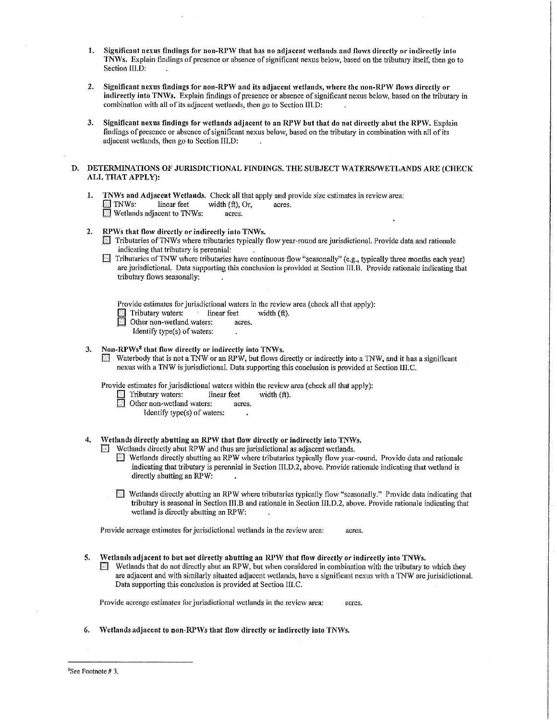- 1. Significant nexus findings for non-RPW that has no adjacent wetlands and flows directly or indirectly into TNVVs. Explain findings of presence or absence of significant nexus belo\V, based on the tributary itself, then go to Section III.D:
- 2. Significant nexus findings for non-RPW and its adjacent wetlands, where the non-RPW flows directly or indirectly into TNWs. Explain findings of presence or absence of significant nexus below, based on the tributary in combination with all of its adjacent wetlands, then go to Section IILD:
- 3. Significant nexus findings for wetlands adjacent to an RPW but that do not directly abut the RPW. Explain findings of presence or absence of significant nexus below, based on the tributary in combination with all of its adjacent wetlands, then go to Section  $\overline{\text{III.D}}$ :

# D. DETERMINATIONS OF JURISDICTIONAL FINDINGS. THE SUBJECT WATERS/WETLANDS ARE (CHECK ALL THAT APPLY):

1. TNWs and Adjacent Wetlands. Check all that apply and provide size estimates in review area:<br> $\Box$  TNWs: linear feet width (ft). Or. acres. width  $(ft)$ , Or, acres.  $\Box$  Wetlands adjacent to TNWs:

# 2. RPWs that flow directly or indirectly into TNWs.

- $\Box$  Tributaries of TNWs where tributaries typically flow year-round are jurisdictional. Provide data and rationale indicating that tributary is perennial:
- **Extributaries of TNW where tributaries have continuous flow "seasonally" (e.g., typically three months each year)** are jurisdictional. Data supporting this conclusion is provided at Section III.B. Provide rationale indicating that tributary flows seasonally:

Provide estimates for jurisdictional waters in the review area (check all that apply):

- Tributary waters: linear feet width (ft).
	- Other non-wetland waters: acres.
		- Identify type(s) of waters:

# 3. Non-RPWs<sup>8</sup> that flow directly or indirectly into TNWs.<br> $\overline{=}$  Waterbody that is not a TNW or an RPW, but flows di

Waterbody that is not a TNW or an RPW, but flows directly or indirectly into a TNW, and it has a significant nexus \vith a 1NW is jurisdictional. Data supporting this conclusion is provided at Section III.C.

Provide estimates for jurisdictional waters within the review area (check all that apply):<br>  $\Box$  Tributary waters: linear feet width (ft).

- Tributary waters: linear feet<br>Other non-wetland waters: acres.
- Other non-wetland waters:
	- Identify type(s) of waters:
- 4. Wetlands directly abutting an RPW that flow directly or indirectly into TNWs.

Wetlands directly abut RPW and thus are jurisdictional as adjacent wetlands.

- $\Box$  Wetlands directly abutting an RPW where tributaries typically flow year-round. Provide data and rationale indicating that tributary is perennial in Section  $\Pi$ , D.2, above. Provide rationale indicating that wetland is directly abutting an RPW:
- $\Box$  Wetlands directly abutting an RPW where tributaries typically flow "seasonally." Provide data indicating that tributary is seasonal in Section III.B and rationale in Section III.D.2, above. Provide rationale indicating that wetland is directly abutting an RPW:

Provide acreage estimates for jurisdictional wetlands in the review area: acres.

5. Wetlands adjacent to but not directly abutting an RPW that flow directly or indirectly into TNWs.

 $\Box$  Wetlands that do not directly abut an RPW, but when considered in combination with the tributary to which they are adjacent and with similarly situated adjacent wetlands, have a significant nexus with a TNW are jurisidictional. Data supporting this conclusion is provided at Section III.C.

Provide acreage estimates for jurisdictional wetlands in the review area: acres.

Wetlands adjacent to non-RPWs that flow directly or indirectly into TNWs,

8 See Footnote# 3.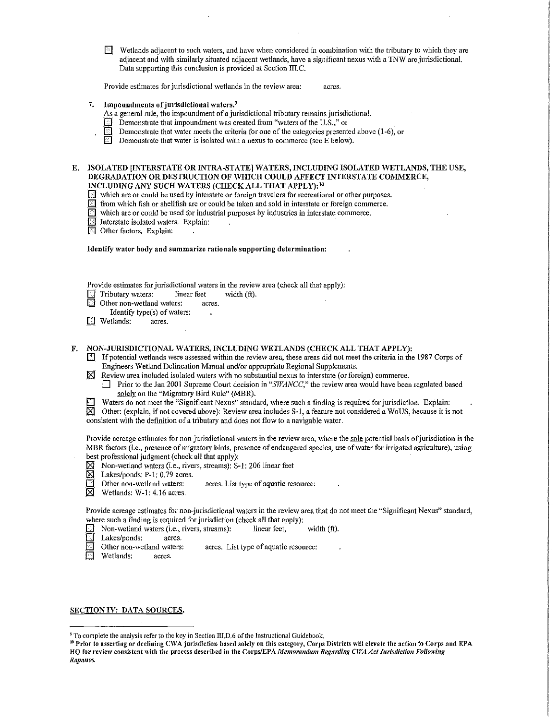$\boxed{\phantom{a}$  Wetlands adjacent to such waters, and have when considered in combination with the tributary to which they are adjacent and with similarly situated adjacent wetlands, have a significant nexus with a TNW are jurisdictional. Data supporting this conclusion is provided at Section  $\overline{III}$ .C.

Provide estimates for jurisdictional wetlands in the review area: acres.

# 7. Impoundments of jurisdictional waters.<sup>9</sup>

As a general rule, the impoundment of a jurisdictional tributary remains jurisdictional.

- **EXECUTE:** Demonstrate that impoundment was created from "waters of the U.S.," or
- Demonstrate that water meets the criteria for one of the categories presented above (1-6), or
- **EXECUTE:** Demonstrate that water is isolated with a nexus to commerce (see E below).

## E. ISOLATED [INTERSTATE OR INTRA-STATE] WATERS, INCLUDING ISOLATED WETLANDS, THE USE, DEGRADATION OR DESTRUCTION OF WHICH COULD AFFECT INTERSTATE COMMERCE, INCLUDING ANY SUCH WATERS (CHECK ALL THAT APPLY): <sup>10</sup>

- $\Box$  which are or could be used by interstate or foreign travelers for recreational or other purposes.
- \_[] from \vhich fish or shellfish arc or could be taken and sold in interstate or foreign commerce.
- $\Box$  which are or could be used for industrial purposes by industries in interstate commerce.
- $\Box$  Interstate isolated waters. Explain:
- Other factors. Explain:

Identify water body and summarize rationale supporting determination:

Provide estimates for jurisdictional waters in the review area (check all that apply):<br>
Tributary waters: linear feet width (ft).

- $\Box$  Tributary waters: linear feet width (ft).
- Other non-wetland waters: acres.
- Identify type $(s)$  of waters:
- \_D Wetlands: acres.

### F. NON-JURISDICTIONAL WATERS, INCLUDING WETLANDS (CHECK ALL THAT APPLY):

- If potential wetlands were assessed within the review area, these areas did not meet the criteria in the 1987 Corps of Engineers Wetland Delineation Manual and/or appropriate Regional Supplements.
- $\boxtimes$  Review area included isolated waters with no substantial nexus to interstate (or foreign) commerce.
	- D Prior to the Jan 2001 Supreme Court decision in "SWANCC," the review area would have been regulated based solely on the "Migratory Bird Rule" (MBR).
- Waters do not meet the "Significant Nexus" standard, where such a finding is required for jurisdiction. Explain:

 $\boxtimes$  Other: (explain, if not covered above): Review area includes S-1, a feature not considered a WoUS, because it is not consistent with the definition of a tributary and does not flow to a navigable water.

Provide acreage estimates for non-jurisdictional waters in the review area, where the sole potential basis of jurisdiction is the .MER factors (i.e., presence of nllgratory birds, presence of endangered species, use of \vater for irrigated agriculture), using best professional judgment (check all that apply):

- $\boxtimes$  Non-wetland waters (i.e., rivers, streams): S-1: 206 linear feet  $\boxtimes$  Lakes/ponds: P-1: 0.79 acres.
- $\boxtimes$  Lakes/ponds: P-1: 0.79 acres.<br> $\boxdot$  Other non-wetland waters:
- Other non-wetland waters: acres. List type of aquatic resource:
- $\boxtimes$  Wetlands: W-1: 4.16 acres.

Provide acreage estimates for non-jurisdictional waters in the review area that do not meet the "Significant Nexus" standard, where such a finding is required for jurisdiction (check all that apply):

- Non-wetland waters (i.e., rivers, streams): linear feet, width (ft).
- **E** Lakes/ponds: acres.<br>**C** Other non-wetland waters:
- Other non-wetland waters: acres. List type of aquatic resource:<br> $\boxed{\text{or}}$  Wetlands: acres.
- Wetlands: acres.

SECTION IV: DATA SOURCES.

<sup>&</sup>lt;sup>9</sup> To complete the analysis refer to the key in Section III.D.6 of the Instructional Guidebook.<br><sup>10</sup> Prior to asserting or declining CWA jurisdiction based solely on this category, Corps Districts will elevate the action HQ for review consistent with the process described in the Corps/EPA *l'rle1110ru11du111 Regarding* CJVA *Act J11risdictio11 Following Rapa11os.*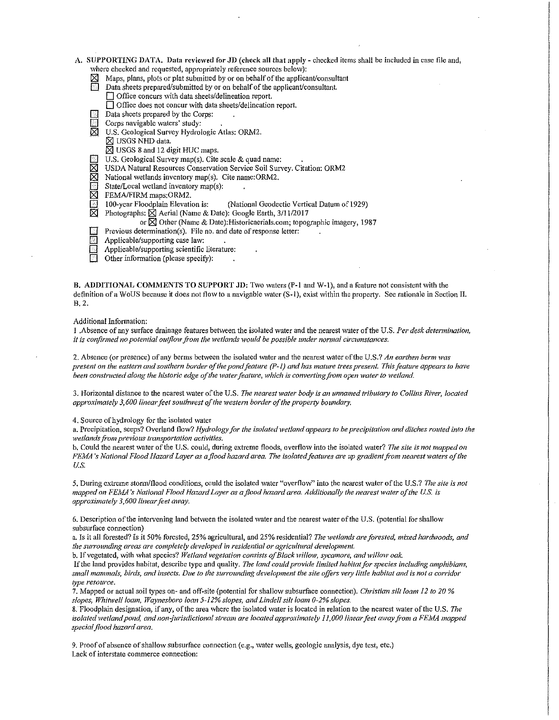- A. SUPPORTING DATA. Data reviewed for JD (check all that apply checked items shall be included in case file and, where checked and requested, appropriately reference sources below):
	-
	- $[8]$  Maps, plans, plots or plat submitted by or on behalf of the applicant/consultant  $[8]$  Data sheets prepared/submitted by or on behalf of the applicant/consultant. Data sheets prepared/submitted by or on behalf of the applicant/consultant. Office concurs with data sheets/delineation report.
		- $\Box$  Office does not concur with data sheets/delineation report.
		- Data sheets prepared by the Corps:
	- $\Box$  Corps navigable waters' study:<br> $\Box$  U.S. Geological Survey Hydrol
	- U.S. Geological Survey Hydrologic Atlas: ORM2.
	- $\boxtimes$  USGS NHD data.  $\boxtimes$  USGS 8 and 12 digit HUC maps.
	- U.S. Geological Survey map(s). Cite scale  $&$  quad name:
	-
	- $\boxtimes$  USDA Natural Resources Conservation Service Soil Survey. Citation: ORM2 National wetlands inventory map(s). Cite name: ORM2.
	- $\boxtimes$  National wetlands inventory map(s). Cite name:ORM2.<br> $\boxed{\text{state/Local wetland inventory map(s)}}$ .
	- **is State/Local wetland inventory map(s):**<br> **N** FEMA/FIRM maps:ORM2.
	-

FEMA/FIRM maps:ORM2.<br>100-year Floodplain Elevation is: 100-year Floodplain Elevation is: (National Geodectic Vertical Datum of 1929)<br>
Thotographs: | Aerial (Name & Date): Google Earth, 3/11/2017

- Photographs:  $\boxtimes$  Aerial (Name & Date): Google Earth, 3/11/2017
- or  $\boxtimes$  Other (Name & Date): Historicaerials.com; topographic imagery, 1987
- Previous determination(s). File no. and date of response letter:
- Applicable/supporting case law:
- $\Box$  Applicable/supporting scientific literature:<br> $\Box$  Other information (please specify):
- 0 Other information (please specify):

B. ADDITIONAL COMMENTS TO SUPPORT JD: Two waters (P-1 and W-1), and a feature not consistent with the definition of a WoUS because it does not flow to a navigable water (S-1), exist within the property. See rationale in Section II. B.2.

#### Additional Information:

1 .Absence of any surface drainage features bet\Yeen the isolated water and the nearest \Yater of the U.S. *Per desk detennination, it is confirmed no potential outflow from the wetlands would be possible under normal circumstances.* 

2. Absence (or presence) of any berms between the isolated water and the nearest water of the U.S.? *An earthen berm was present on the eastern and southern border of the pond feature (P-1) and has 1nature trees present. This feature appears to have been constructed along the historic edge of the water feature, which is converting from open water to wetland.* 

3. Horizontal distance to the nearest water of the U.S. *The nearest water body is an unnamed tributary to Collins River, located approxbnately 3,600 linear/eel southwest of the 1vestern border of the property boundary.* 

4. Source of hydrology for the isolated water

a. Precipitation, seeps? Overland flow? *Hydrology for the isolated 1vetland appears to be precipitation and ditches routed into the wetlands from previous transportation activities.* 

b. Could the nearest water of the U.S. could, during extreme floods, overflow into the isolated water? The site is not mapped on *FEAlA 's National Flood lfazard Layer as a flood hazaf'd area. The faolatedfeatures are up gradient fi·om nearest waters of the*  U.S.

5. During extreme storm/flood conditions, could the isolated water "overflow" into the nearest water of the U.S.? The site is not *mapped on FE1\lA 's National Flood Hazard Layer as a flood hazard area. Additionally the nearest water of the U.S. is approxbnately 3,600 linearfeet mvay.* 

6. Description of the intervening land between the isolated water and the nearest water of the U.S. (potential for shallow subsurface connection)

a. Is it all forested? Is it 50% forested, 25% agricultural, and 25% residential? *The wetlands are forested, mixed hardwoods, and the surrounding areas are completely developed in residential or agricultural development.* 

b. If vegetated, with what species? *Wetland vegetation consists of Black willow, sycamore, and willow oak.* 

If the land provides habitat, describe type and quality. *The land could provide limited habitat for species including amphibians,*  small mammals, birds, and insects. Due to the surrounding development the site offers very little habitat and is not a corridor *type resource.* 

7. Nfapped or actual soil types on- and off-site (potential for shallo\Y subsurface connection). *Christian silt loan1 12 to 20* % slopes, Whitwell loam, Waynesboro loan 5-12% slopes, and Lindell silt loam 0-2% slopes.

8. Floodplain designation, if any, of the area where the isolated water is located in relation to the nearest water of the U.S. *The isolated wetland pond, and non-jurisdictional stream are located approximately 11,000 linear feet away from a FEMA mapped special flood hazard area.* 

9. Proof of absence of shallow subsurface connection (e.g., water wells, geologic analysis, dye test, etc.) Lack of interstate commerce connection: